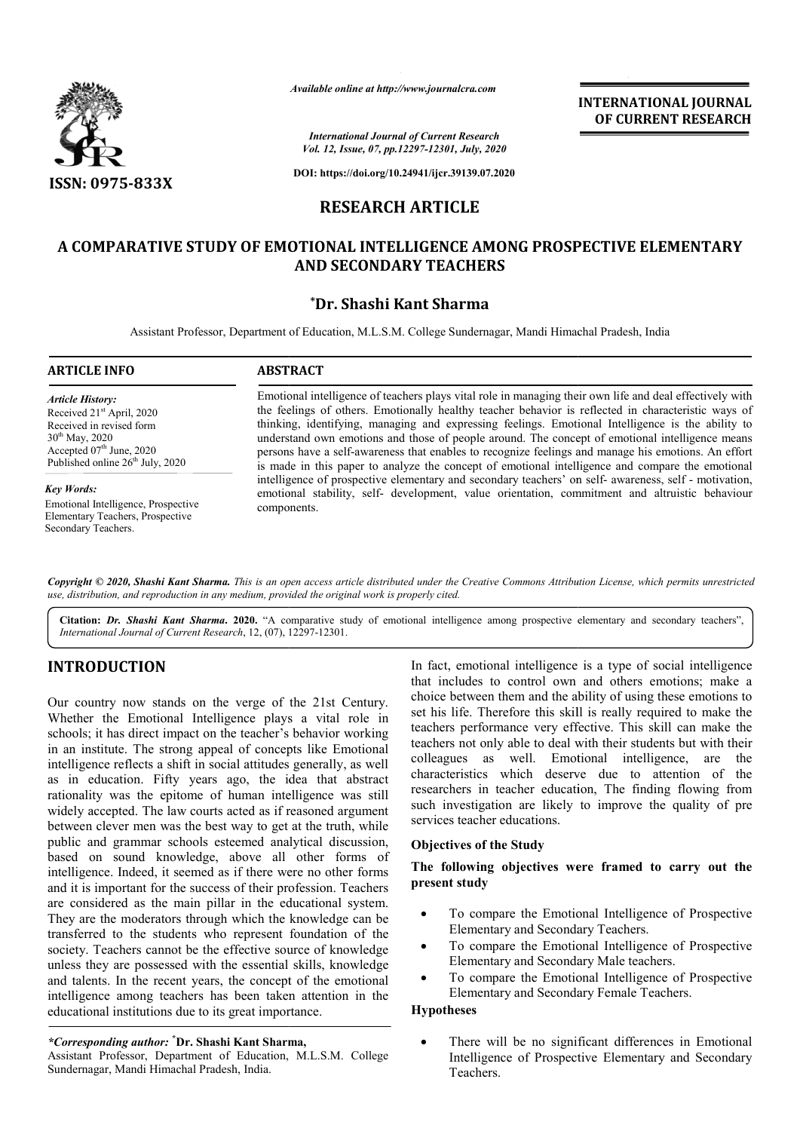

*Available online at http://www.journalcra.com*

**INTERNATIONAL JOURNAL OF CURRENT RESEARCH**

*International Journal of Current Research Vol. 12, Issue, 07, pp.12297-12301, July, 2020*

**DOI: https://doi.org/10.24941/ijcr.39139.07.2020**

# **RESEARCH ARTICLE**

# **A COMPARATIVE STUDY OF EMOTIONAL INTELLIGENCE AMONG PROSPECTIVE ELEMENTARY AND SECONDARY TEACHERS**

# **\*Dr. Shashi Kant Sharma**

Assistant Professor, Department of Education, M.L.S.M. College Sundernagar, Mandi Himachal Pradesh, India

#### **ARTICLE INFO ABSTRACT**

*Article History:* Received 21<sup>st</sup> April, 2020 Received in revised form 30th May, 2020 Accepted  $07<sup>th</sup>$  June, 2020 Published online  $26<sup>th</sup>$  July, 2020

#### *Key Words:*

Emotional Intelligence, Prospective Elementary Teachers, Prospective Secondary Teachers.

Emotional intelligence of teachers plays vital role in managing their own life and deal effectively with the feelings of others. Emotionally healthy teacher behavior is reflected in characteristic ways of thinking, identifying, managing and expressing feelings. Emotional Intelligence is the ability to understand own emotions and those of people around. The concept of emotional intelligence means persons have a self-awareness that enables to recognize feelings and manage his emotions. An effort is made in this paper to analyze the concept of emotional intelligence and compare the emotional intelligence of prospective elementary and secondary teachers' on self- awareness, self - motivation, emotional stability, self- development, value orientation, commitment and altruistic behaviour components. Emotional intelligence of teachers plays vital role in managing their own life and deal effectively with<br>the feelings of others. Emotionally healthy teacher behavior is reflected in characteristic ways of<br>thinking, identif

Copyright © 2020, Shashi Kant Sharma. This is an open access article distributed under the Creative Commons Attribution License, which permits unrestrictea *use, distribution, and reproduction in any medium, provided the original work is properly cited.*

Citation: Dr. Shashi Kant Sharma. 2020. "A comparative study of emotional intelligence among prospective elementary and secondary teachers", *International Journal of Current Research*, 12, (07), 12297 A 12297-12301.

# **INTRODUCTION**

Our country now stands on the verge of the 21st Century. Whether the Emotional Intelligence plays a vital role in schools; it has direct impact on the teacher's behavior working in an institute. The strong appeal of concepts like Emotional intelligence reflects a shift in social attitudes generally, as well as in education. Fifty years ago, the idea that abstract rationality was the epitome of human intelligence was still widely accepted. The law courts acted as if reasoned argument between clever men was the best way to get at the truth, while public and grammar schools esteemed analytical discussion, based on sound knowledge, above all other forms of intelligence. Indeed, it seemed as if there were no other forms and it is important for the success of their profession. Teachers are considered as the main pillar in the educational system. They are the moderators through which the knowledge can be transferred to the students who represent foundation of the society. Teachers cannot be the effective source of knowledge unless they are possessed with the essential skills, knowledge and talents. In the recent years, the concept of the emotional intelligence among teachers has been taken attention in the educational institutions due to its great importance. lects a shift in social attitudes generally, as well<br>on. Fifty years ago, the idea that abstract<br>is the epitome of human intelligence was still<br>d. The law courts acted as if reasoned argument<br>men was the best way to get at

*\*Corresponding author:* **\* Dr. Shashi Kant Sharma Sharma,**

Assistant Professor, Department of Education, M.L.S.M. College Sundernagar, Mandi Himachal Pradesh, India.

In fact, emotional intelligence is a type of social intelligence In fact, emotional intelligence is a type of social intelligence that includes to control own and others emotions; make a choice between them and the ability of using these emotions to set his life. Therefore this skill is really required to make the teachers performance very effective. This skill can make the teachers not only able to deal with their s colleagues as well. Emotional intelligence, are the characteristics which deserve due to attention of the researchers in teacher education, The finding flowing from such investigation are likely to improve the quality of pre services teacher educations. choice between them and the ability of using these emotions to set his life. Therefore this skill is really required to make the teachers performance very effective. This skill can make the teachers not only able to deal w colleagues as well. Emotional intelligence, are the characteristics which deserve due to attention of the researchers in teacher education, The finding flowing from such investigation are likely to improve the quality of p

### **Objectives of the Study**

# The following objectives were framed to carry out the **present study**

- To compare the Emotional Intelligence of Prospective Elementary and Secondary Teachers.
- Elementary and Secondary Teachers.<br>• To compare the Emotional Intelligence of Prospective Elementary and Secondary Male teachers.
- To compare the Emotional Intelligence of Prospective Elementary and Secondary Female Teachers.

#### **Hypotheses**

 There will be no significant differences in Emotional Intelligence of Prospective Elementary and Teachers. Secondary Male teachers.<br>
Emotional Intelligence of Prospective<br>
Secondary Female Teachers.<br>
No significant differences in Emotional<br>
Prospective Elementary and Secondary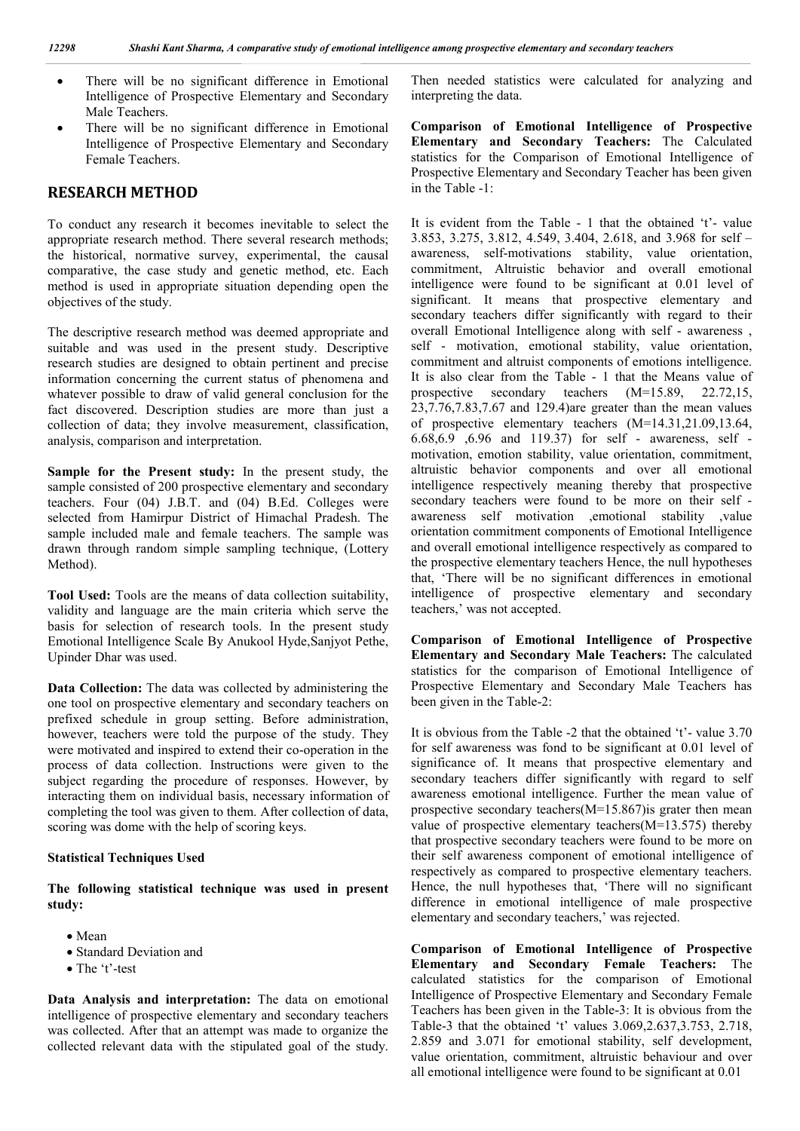- There will be no significant difference in Emotional Intelligence of Prospective Elementary and Secondary Male Teachers.
- There will be no significant difference in Emotional Intelligence of Prospective Elementary and Secondary Female Teachers.

# **RESEARCH METHOD**

To conduct any research it becomes inevitable to select the appropriate research method. There several research methods; the historical, normative survey, experimental, the causal comparative, the case study and genetic method, etc. Each method is used in appropriate situation depending open the objectives of the study.

The descriptive research method was deemed appropriate and suitable and was used in the present study. Descriptive research studies are designed to obtain pertinent and precise information concerning the current status of phenomena and whatever possible to draw of valid general conclusion for the fact discovered. Description studies are more than just a collection of data; they involve measurement, classification, analysis, comparison and interpretation.

**Sample for the Present study:** In the present study, the sample consisted of 200 prospective elementary and secondary teachers. Four (04) J.B.T. and (04) B.Ed. Colleges were selected from Hamirpur District of Himachal Pradesh. The sample included male and female teachers. The sample was drawn through random simple sampling technique, (Lottery Method).

**Tool Used:** Tools are the means of data collection suitability, validity and language are the main criteria which serve the basis for selection of research tools. In the present study Emotional Intelligence Scale By Anukool Hyde,Sanjyot Pethe, Upinder Dhar was used.

**Data Collection:** The data was collected by administering the one tool on prospective elementary and secondary teachers on prefixed schedule in group setting. Before administration, however, teachers were told the purpose of the study. They were motivated and inspired to extend their co-operation in the process of data collection. Instructions were given to the subject regarding the procedure of responses. However, by interacting them on individual basis, necessary information of completing the tool was given to them. After collection of data, scoring was dome with the help of scoring keys.

# **Statistical Techniques Used**

**The following statistical technique was used in present study:**

- Mean
- Standard Deviation and
- The 't'-test

**Data Analysis and interpretation:** The data on emotional intelligence of prospective elementary and secondary teachers was collected. After that an attempt was made to organize the collected relevant data with the stipulated goal of the study.

Then needed statistics were calculated for analyzing and interpreting the data.

**Comparison of Emotional Intelligence of Prospective Elementary and Secondary Teachers:** The Calculated statistics for the Comparison of Emotional Intelligence of Prospective Elementary and Secondary Teacher has been given in the Table -1:

It is evident from the Table - 1 that the obtained 't'- value 3.853, 3.275, 3.812, 4.549, 3.404, 2.618, and 3.968 for self – awareness, self-motivations stability, value orientation, commitment, Altruistic behavior and overall emotional intelligence were found to be significant at 0.01 level of significant. It means that prospective elementary and secondary teachers differ significantly with regard to their overall Emotional Intelligence along with self - awareness , self - motivation, emotional stability, value orientation, commitment and altruist components of emotions intelligence. It is also clear from the Table - 1 that the Means value of prospective secondary teachers (M=15.89, 22.72,15, 23,7.76,7.83,7.67 and 129.4)are greater than the mean values of prospective elementary teachers (M=14.31,21.09,13.64, 6.68,6.9 ,6.96 and 119.37) for self - awareness, self motivation, emotion stability, value orientation, commitment, altruistic behavior components and over all emotional intelligence respectively meaning thereby that prospective secondary teachers were found to be more on their self awareness self motivation ,emotional stability ,value orientation commitment components of Emotional Intelligence and overall emotional intelligence respectively as compared to the prospective elementary teachers Hence, the null hypotheses that, 'There will be no significant differences in emotional intelligence of prospective elementary and secondary teachers,' was not accepted.

**Comparison of Emotional Intelligence of Prospective Elementary and Secondary Male Teachers:** The calculated statistics for the comparison of Emotional Intelligence of Prospective Elementary and Secondary Male Teachers has been given in the Table-2:

It is obvious from the Table -2 that the obtained 't'- value 3.70 for self awareness was fond to be significant at 0.01 level of significance of. It means that prospective elementary and secondary teachers differ significantly with regard to self awareness emotional intelligence. Further the mean value of prospective secondary teachers  $(M=15.867)$  is grater then mean value of prospective elementary teachers(M=13.575) thereby that prospective secondary teachers were found to be more on their self awareness component of emotional intelligence of respectively as compared to prospective elementary teachers. Hence, the null hypotheses that, 'There will no significant difference in emotional intelligence of male prospective elementary and secondary teachers,' was rejected.

**Comparison of Emotional Intelligence of Prospective Elementary and Secondary Female Teachers:** The calculated statistics for the comparison of Emotional Intelligence of Prospective Elementary and Secondary Female Teachers has been given in the Table-3: It is obvious from the Table-3 that the obtained 't' values 3.069,2.637,3.753, 2.718, 2.859 and 3.071 for emotional stability, self development, value orientation, commitment, altruistic behaviour and over all emotional intelligence were found to be significant at 0.01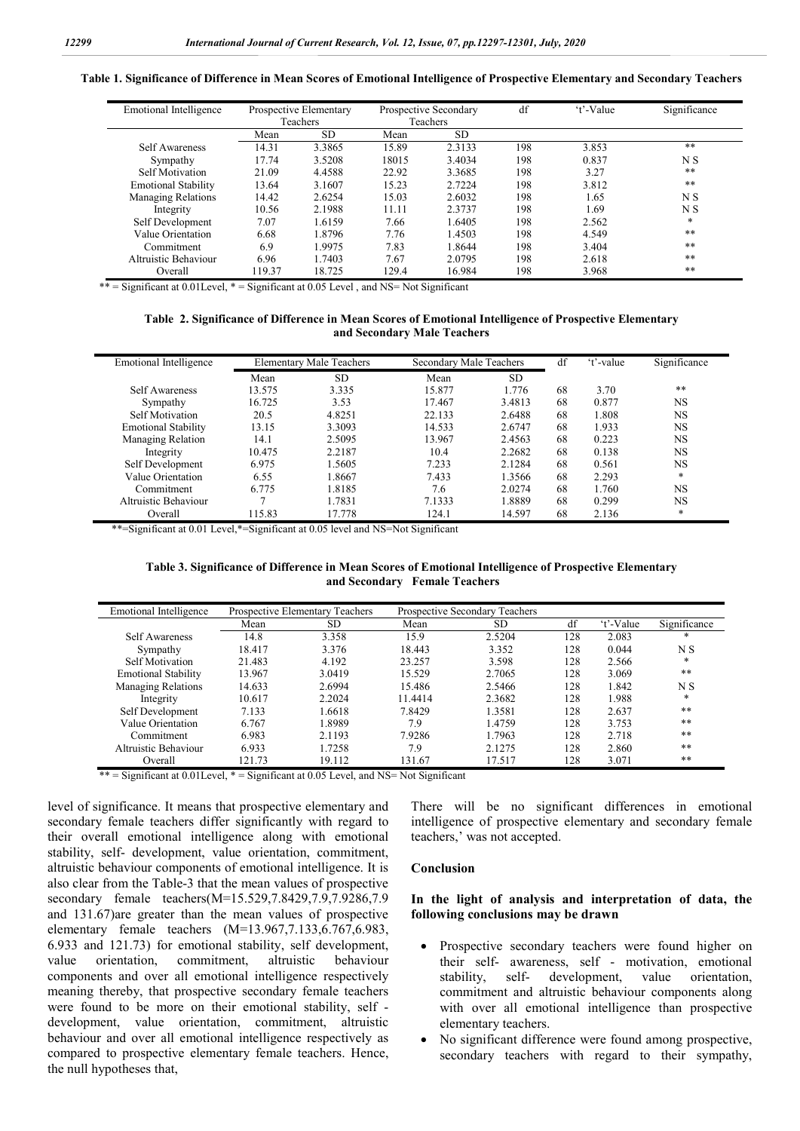**Table 1. Significance of Difference in Mean Scores of Emotional Intelligence of Prospective Elementary and Secondary Teachers**

| <b>Emotional Intelligence</b> | Prospective Elementary<br><b>Teachers</b> |           | Prospective Secondary<br><b>Teachers</b> |           | df  | 't'-Value | Significance   |
|-------------------------------|-------------------------------------------|-----------|------------------------------------------|-----------|-----|-----------|----------------|
|                               | Mean                                      | <b>SD</b> | Mean                                     | <b>SD</b> |     |           |                |
| Self Awareness                | 14.31                                     | 3.3865    | 15.89                                    | 2.3133    | 198 | 3.853     | $***$          |
| Sympathy                      | 17.74                                     | 3.5208    | 18015                                    | 3.4034    | 198 | 0.837     | N <sub>S</sub> |
| Self Motivation               | 21.09                                     | 4.4588    | 22.92                                    | 3.3685    | 198 | 3.27      | $**$           |
| <b>Emotional Stability</b>    | 13.64                                     | 3.1607    | 15.23                                    | 2.7224    | 198 | 3.812     | $* *$          |
| <b>Managing Relations</b>     | 14.42                                     | 2.6254    | 15.03                                    | 2.6032    | 198 | 1.65      | N <sub>S</sub> |
| Integrity                     | 10.56                                     | 2.1988    | 11.11                                    | 2.3737    | 198 | l.69      | N S            |
| Self Development              | 7.07                                      | 1.6159    | 7.66                                     | 1.6405    | 198 | 2.562     | $\ast$         |
| Value Orientation             | 6.68                                      | 1.8796    | 7.76                                     | 1.4503    | 198 | 4.549     | $* *$          |
| Commitment                    | 6.9                                       | 1.9975    | 7.83                                     | 1.8644    | 198 | 3.404     | $**$           |
| Altruistic Behaviour          | 6.96                                      | 1.7403    | 7.67                                     | 2.0795    | 198 | 2.618     | $* *$          |
| Overall                       | 119.37                                    | 18.725    | 129.4                                    | 16.984    | 198 | 3.968     | **             |

\*\* = Significant at  $0.01$  Level, \* = Significant at  $0.05$  Level, and NS= Not Significant

#### **Table 2. Significance of Difference in Mean Scores of Emotional Intelligence of Prospective Elementary and Secondary Male Teachers**

| Emotional Intelligence     | <b>Elementary Male Teachers</b> |           | Secondary Male Teachers | df     | 't'-value | Significance |           |
|----------------------------|---------------------------------|-----------|-------------------------|--------|-----------|--------------|-----------|
|                            | Mean                            | <b>SD</b> | Mean                    | SD     |           |              |           |
| <b>Self Awareness</b>      | 13.575                          | 3.335     | 15.877                  | 1.776  | 68        | 3.70         | $* *$     |
| Sympathy                   | 16.725                          | 3.53      | 17.467                  | 3.4813 | 68        | 0.877        | <b>NS</b> |
| Self Motivation            | 20.5                            | 4.8251    | 22.133                  | 2.6488 | 68        | 1.808        | <b>NS</b> |
| <b>Emotional Stability</b> | 13.15                           | 3.3093    | 14.533                  | 2.6747 | 68        | 1.933        | NS        |
| Managing Relation          | 14.1                            | 2.5095    | 13.967                  | 2.4563 | 68        | 0.223        | <b>NS</b> |
| Integrity                  | 10.475                          | 2.2187    | 10.4                    | 2.2682 | 68        | 0.138        | <b>NS</b> |
| Self Development           | 6.975                           | 1.5605    | 7.233                   | 2.1284 | 68        | 0.561        | NS        |
| Value Orientation          | 6.55                            | 1.8667    | 7.433                   | 1.3566 | 68        | 2.293        | $\ast$    |
| Commitment                 | 6.775                           | 1.8185    | 7.6                     | 2.0274 | 68        | 1.760        | <b>NS</b> |
| Altruistic Behaviour       |                                 | 1.7831    | 7.1333                  | 1.8889 | 68        | 0.299        | <b>NS</b> |
| Overall                    | 115.83                          | 17.778    | 124.1                   | 14.597 | 68        | 2.136        | *         |

\*\*=Significant at 0.01 Level,\*=Significant at 0.05 level and NS=Not Significant

**Table 3. Significance of Difference in Mean Scores of Emotional Intelligence of Prospective Elementary and Secondary Female Teachers**

| <b>Emotional Intelligence</b> | Prospective Elementary Teachers |        | Prospective Secondary Teachers |        |     |           |              |
|-------------------------------|---------------------------------|--------|--------------------------------|--------|-----|-----------|--------------|
|                               | Mean                            | SD.    | Mean                           | SD.    | df  | 't'-Value | Significance |
| <b>Self Awareness</b>         | 14.8                            | 3.358  | 15.9                           | 2.5204 | 128 | 2.083     | $\ast$       |
| Sympathy                      | 18.417                          | 3.376  | 18.443                         | 3.352  | 128 | 0.044     | N S          |
| Self Motivation               | 21.483                          | 4.192  | 23.257                         | 3.598  | 128 | 2.566     | $\ast$       |
| <b>Emotional Stability</b>    | 13.967                          | 3.0419 | 15.529                         | 2.7065 | 128 | 3.069     | $**$         |
| <b>Managing Relations</b>     | 14.633                          | 2.6994 | 15.486                         | 2.5466 | 128 | 1.842     | N S          |
| Integrity                     | 10.617                          | 2.2024 | 11.4414                        | 2.3682 | 128 | 1.988     | $\ast$       |
| Self Development              | 7.133                           | 1.6618 | 7.8429                         | 1.3581 | 128 | 2.637     | $**$         |
| Value Orientation             | 6.767                           | 1.8989 | 7.9                            | 1.4759 | 128 | 3.753     | $***$        |
| Commitment                    | 6.983                           | 2.1193 | 7.9286                         | 1.7963 | 128 | 2.718     | $**$         |
| Altruistic Behaviour          | 6.933                           | 1.7258 | 7.9                            | 2.1275 | 128 | 2.860     | $**$         |
| Overall                       | 121.73                          | 19.112 | 131.67                         | 17.517 | 128 | 3.071     | $**$         |

\*\* = Significant at 0.01Level, \* = Significant at 0.05 Level, and NS= Not Significant

level of significance. It means that prospective elementary and secondary female teachers differ significantly with regard to their overall emotional intelligence along with emotional stability, self- development, value orientation, commitment, altruistic behaviour components of emotional intelligence. It is also clear from the Table-3 that the mean values of prospective secondary female teachers(M=15.529,7.8429,7.9,7.9286,7.9 and 131.67)are greater than the mean values of prospective elementary female teachers (M=13.967,7.133,6.767,6.983, 6.933 and 121.73) for emotional stability, self development, value orientation, commitment, altruistic behaviour components and over all emotional intelligence respectively meaning thereby, that prospective secondary female teachers were found to be more on their emotional stability, self development, value orientation, commitment, altruistic behaviour and over all emotional intelligence respectively as compared to prospective elementary female teachers. Hence, the null hypotheses that,

There will be no significant differences in emotional intelligence of prospective elementary and secondary female teachers,' was not accepted.

#### **Conclusion**

### **In the light of analysis and interpretation of data, the following conclusions may be drawn**

- Prospective secondary teachers were found higher on their self- awareness, self - motivation, emotional stability, self- development, value orientation, commitment and altruistic behaviour components along with over all emotional intelligence than prospective elementary teachers.
- No significant difference were found among prospective, secondary teachers with regard to their sympathy,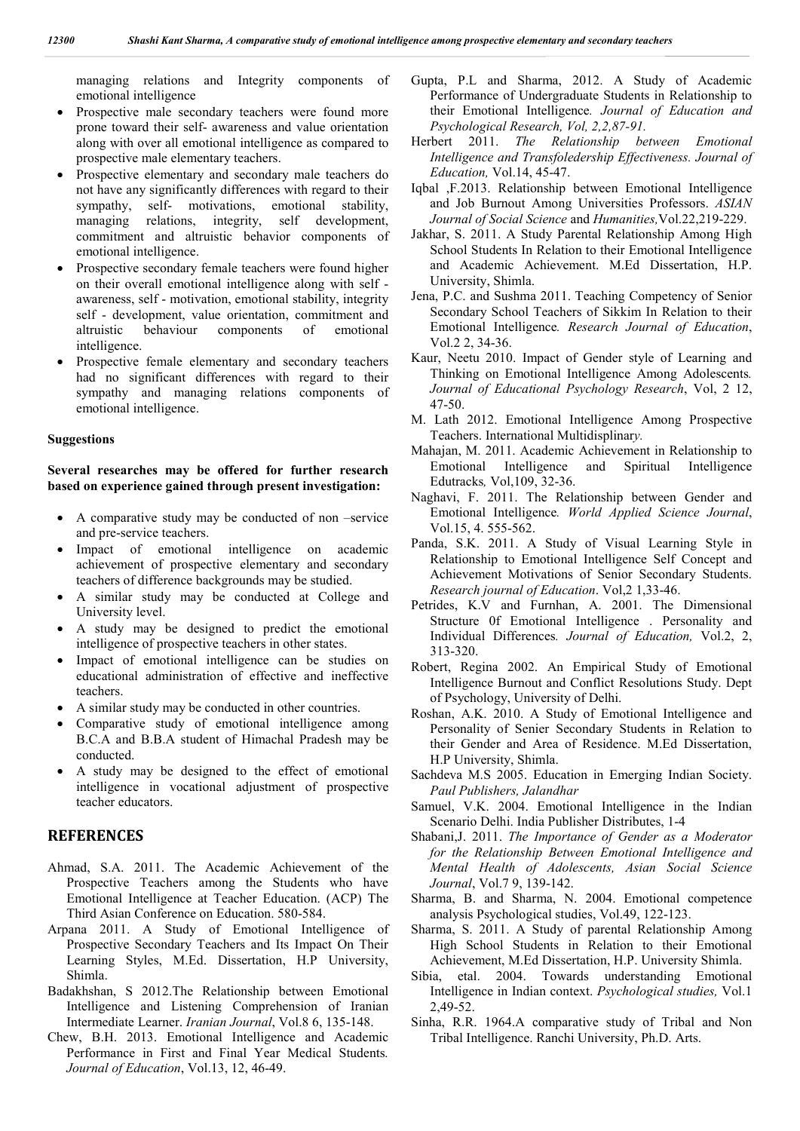managing relations and Integrity components of emotional intelligence

- Prospective male secondary teachers were found more prone toward their self- awareness and value orientation along with over all emotional intelligence as compared to prospective male elementary teachers.
- Prospective elementary and secondary male teachers do not have any significantly differences with regard to their sympathy, self- motivations, emotional stability, managing relations, integrity, self development, commitment and altruistic behavior components of emotional intelligence.
- Prospective secondary female teachers were found higher on their overall emotional intelligence along with self awareness, self - motivation, emotional stability, integrity self - development, value orientation, commitment and altruistic behaviour components of emotional intelligence.
- Prospective female elementary and secondary teachers had no significant differences with regard to their sympathy and managing relations components of emotional intelligence.

#### **Suggestions**

## **Several researches may be offered for further research based on experience gained through present investigation:**

- A comparative study may be conducted of non –service and pre-service teachers.
- Impact of emotional intelligence on academic achievement of prospective elementary and secondary teachers of difference backgrounds may be studied.
- A similar study may be conducted at College and University level.
- A study may be designed to predict the emotional intelligence of prospective teachers in other states.
- Impact of emotional intelligence can be studies on educational administration of effective and ineffective teachers.
- A similar study may be conducted in other countries.
- Comparative study of emotional intelligence among B.C.A and B.B.A student of Himachal Pradesh may be conducted.
- A study may be designed to the effect of emotional intelligence in vocational adjustment of prospective teacher educators.

# **REFERENCES**

- Ahmad, S.A. 2011. The Academic Achievement of the Prospective Teachers among the Students who have Emotional Intelligence at Teacher Education. (ACP) The Third Asian Conference on Education. 580-584.
- Arpana 2011. A Study of Emotional Intelligence of Prospective Secondary Teachers and Its Impact On Their Learning Styles, M.Ed. Dissertation, H.P University, Shimla.
- Badakhshan, S 2012.The Relationship between Emotional Intelligence and Listening Comprehension of Iranian Intermediate Learner. *Iranian Journal*, Vol.8 6, 135-148.
- Chew, B.H. 2013. Emotional Intelligence and Academic Performance in First and Final Year Medical Students*. Journal of Education*, Vol.13, 12, 46-49.
- Gupta, P.L and Sharma, 2012. A Study of Academic Performance of Undergraduate Students in Relationship to their Emotional Intelligence*. Journal of Education and Psychological Research, Vol, 2,2,87-91.*
- Herbert 2011. *The Relationship between Emotional Intelligence and Transfoledership Effectiveness. Journal of Education,* Vol.14, 45-47.
- Iqbal ,F.2013. Relationship between Emotional Intelligence and Job Burnout Among Universities Professors. *ASIAN Journal of Social Science* and *Humanities,*Vol.22,219-229.
- Jakhar, S. 2011. A Study Parental Relationship Among High School Students In Relation to their Emotional Intelligence and Academic Achievement. M.Ed Dissertation, H.P. University, Shimla.
- Jena, P.C. and Sushma 2011. Teaching Competency of Senior Secondary School Teachers of Sikkim In Relation to their Emotional Intelligence*. Research Journal of Education*, Vol.2 2, 34-36.
- Kaur, Neetu 2010. Impact of Gender style of Learning and Thinking on Emotional Intelligence Among Adolescents*. Journal of Educational Psychology Research*, Vol, 2 12, 47-50.
- M. Lath 2012. Emotional Intelligence Among Prospective Teachers. International Multidisplinar*y.*
- Mahajan, M. 2011. Academic Achievement in Relationship to Emotional Intelligence and Spiritual Intelligence Edutracks*,* Vol,109, 32-36.
- Naghavi, F. 2011. The Relationship between Gender and Emotional Intelligence*. World Applied Science Journal*, Vol.15, 4. 555-562.
- Panda, S.K. 2011. A Study of Visual Learning Style in Relationship to Emotional Intelligence Self Concept and Achievement Motivations of Senior Secondary Students. *Research journal of Education*. Vol,2 1,33-46.
- Petrides, K.V and Furnhan, A. 2001. The Dimensional Structure 0f Emotional Intelligence . Personality and Individual Differences*. Journal of Education,* Vol.2, 2, 313-320.
- Robert, Regina 2002. An Empirical Study of Emotional Intelligence Burnout and Conflict Resolutions Study. Dept of Psychology, University of Delhi.
- Roshan, A.K. 2010. A Study of Emotional Intelligence and Personality of Senier Secondary Students in Relation to their Gender and Area of Residence. M.Ed Dissertation, H.P University, Shimla.
- Sachdeva M.S 2005. Education in Emerging Indian Society. *Paul Publishers, Jalandhar*
- Samuel, V.K. 2004. Emotional Intelligence in the Indian Scenario Delhi. India Publisher Distributes, 1-4
- Shabani,J. 2011. *The Importance of Gender as a Moderator for the Relationship Between Emotional Intelligence and Mental Health of Adolescents, Asian Social Science Journal*, Vol.7 9, 139-142.
- Sharma, B. and Sharma, N. 2004. Emotional competence analysis Psychological studies, Vol.49, 122-123.
- Sharma, S. 2011. A Study of parental Relationship Among High School Students in Relation to their Emotional Achievement, M.Ed Dissertation, H.P. University Shimla.
- Sibia, etal. 2004. Towards understanding Emotional Intelligence in Indian context. *Psychological studies,* Vol.1 2,49-52.
- Sinha, R.R. 1964.A comparative study of Tribal and Non Tribal Intelligence. Ranchi University, Ph.D. Arts.